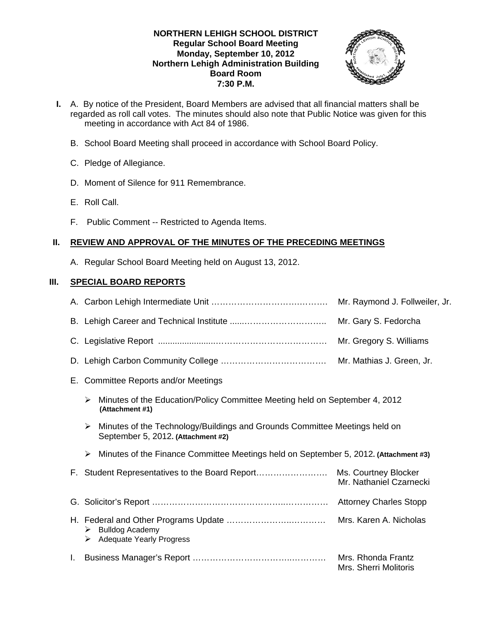## **NORTHERN LEHIGH SCHOOL DISTRICT Regular School Board Meeting Monday, September 10, 2012 Northern Lehigh Administration Building Board Room 7:30 P.M.**



- **I.** A. By notice of the President, Board Members are advised that all financial matters shall be regarded as roll call votes. The minutes should also note that Public Notice was given for this meeting in accordance with Act 84 of 1986.
	- B. School Board Meeting shall proceed in accordance with School Board Policy.
	- C. Pledge of Allegiance.
	- D. Moment of Silence for 911 Remembrance.
	- E. Roll Call.
	- F. Public Comment -- Restricted to Agenda Items.

# **II. REVIEW AND APPROVAL OF THE MINUTES OF THE PRECEDING MEETINGS**

A. Regular School Board Meeting held on August 13, 2012.

# **III. SPECIAL BOARD REPORTS**

|    |        |                                                                                                                  | Mr. Raymond J. Follweiler, Jr.              |
|----|--------|------------------------------------------------------------------------------------------------------------------|---------------------------------------------|
|    |        |                                                                                                                  | Mr. Gary S. Fedorcha                        |
|    |        |                                                                                                                  | Mr. Gregory S. Williams                     |
|    |        |                                                                                                                  | Mr. Mathias J. Green, Jr.                   |
|    |        | E. Committee Reports and/or Meetings                                                                             |                                             |
|    | ➤      | Minutes of the Education/Policy Committee Meeting held on September 4, 2012<br>(Attachment #1)                   |                                             |
|    | ➤      | Minutes of the Technology/Buildings and Grounds Committee Meetings held on<br>September 5, 2012. (Attachment #2) |                                             |
|    | ➤      | Minutes of the Finance Committee Meetings held on September 5, 2012. (Attachment #3)                             |                                             |
|    |        |                                                                                                                  | Mr. Nathaniel Czarnecki                     |
|    |        |                                                                                                                  | <b>Attorney Charles Stopp</b>               |
|    | ➤<br>➤ | <b>Bulldog Academy</b><br><b>Adequate Yearly Progress</b>                                                        |                                             |
| ı. |        |                                                                                                                  | Mrs. Rhonda Frantz<br>Mrs. Sherri Molitoris |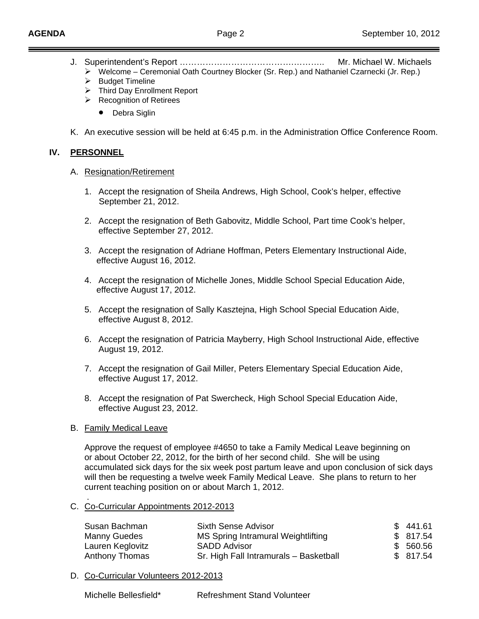- J. Superintendent's Report ………………………………….……….. Mr. Michael W. Michaels
	- ¾ Welcome Ceremonial Oath Courtney Blocker (Sr. Rep.) and Nathaniel Czarnecki (Jr. Rep.)
	- $\triangleright$  Budget Timeline
	- ¾ Third Day Enrollment Report
	- $\triangleright$  Recognition of Retirees
		- Debra Siglin
- K. An executive session will be held at 6:45 p.m. in the Administration Office Conference Room.

## **IV. PERSONNEL**

### A. Resignation/Retirement

- 1. Accept the resignation of Sheila Andrews, High School, Cook's helper, effective September 21, 2012.
- 2. Accept the resignation of Beth Gabovitz, Middle School, Part time Cook's helper, effective September 27, 2012.
- 3. Accept the resignation of Adriane Hoffman, Peters Elementary Instructional Aide, effective August 16, 2012.
- 4. Accept the resignation of Michelle Jones, Middle School Special Education Aide, effective August 17, 2012.
- 5. Accept the resignation of Sally Kasztejna, High School Special Education Aide, effective August 8, 2012.
- 6. Accept the resignation of Patricia Mayberry, High School Instructional Aide, effective August 19, 2012.
- 7. Accept the resignation of Gail Miller, Peters Elementary Special Education Aide, effective August 17, 2012.
- 8. Accept the resignation of Pat Swercheck, High School Special Education Aide, effective August 23, 2012.

### B. Family Medical Leave

.

Approve the request of employee #4650 to take a Family Medical Leave beginning on or about October 22, 2012, for the birth of her second child. She will be using accumulated sick days for the six week post partum leave and upon conclusion of sick days will then be requesting a twelve week Family Medical Leave. She plans to return to her current teaching position on or about March 1, 2012.

C. Co-Curricular Appointments 2012-2013

| Susan Bachman    | Sixth Sense Advisor                    | \$441.61  |
|------------------|----------------------------------------|-----------|
| Manny Guedes     | MS Spring Intramural Weightlifting     | \$817.54  |
| Lauren Keglovitz | <b>SADD Advisor</b>                    | \$ 560.56 |
| Anthony Thomas   | Sr. High Fall Intramurals - Basketball | \$ 817.54 |

### D. Co-Curricular Volunteers 2012-2013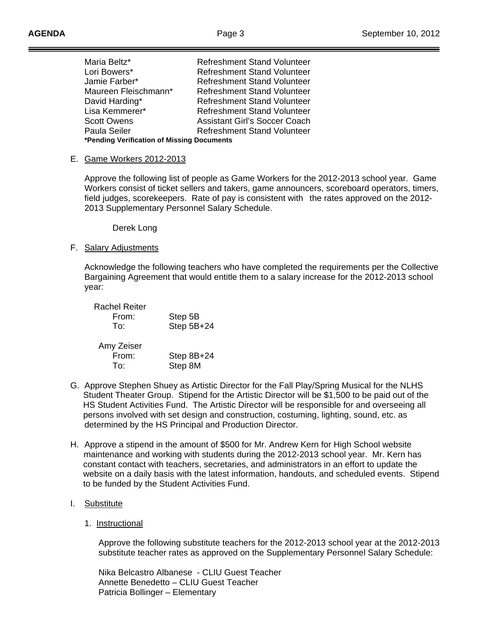| Maria Beltz*                               | <b>Refreshment Stand Volunteer</b>   |  |  |  |  |
|--------------------------------------------|--------------------------------------|--|--|--|--|
| Lori Bowers*                               | <b>Refreshment Stand Volunteer</b>   |  |  |  |  |
| Jamie Farber*                              | <b>Refreshment Stand Volunteer</b>   |  |  |  |  |
| Maureen Fleischmann*                       | <b>Refreshment Stand Volunteer</b>   |  |  |  |  |
| David Harding*                             | <b>Refreshment Stand Volunteer</b>   |  |  |  |  |
| Lisa Kemmerer*                             | <b>Refreshment Stand Volunteer</b>   |  |  |  |  |
| <b>Scott Owens</b>                         | <b>Assistant Girl's Soccer Coach</b> |  |  |  |  |
| Paula Seiler                               | <b>Refreshment Stand Volunteer</b>   |  |  |  |  |
| *Pending Verification of Missing Documents |                                      |  |  |  |  |

#### E. Game Workers 2012-2013

 Approve the following list of people as Game Workers for the 2012-2013 school year. Game Workers consist of ticket sellers and takers, game announcers, scoreboard operators, timers, field judges, scorekeepers. Rate of pay is consistent with the rates approved on the 2012- 2013 Supplementary Personnel Salary Schedule.

Derek Long

### F. Salary Adjustments

Acknowledge the following teachers who have completed the requirements per the Collective Bargaining Agreement that would entitle them to a salary increase for the 2012-2013 school year:

| <b>Rachel Reiter</b><br>From:<br>To: | Step 5B<br>Step 5B+24 |
|--------------------------------------|-----------------------|
| Amy Zeiser<br>From:<br>To:           | Step 8B+24<br>Step 8M |

- G. Approve Stephen Shuey as Artistic Director for the Fall Play/Spring Musical for the NLHS Student Theater Group. Stipend for the Artistic Director will be \$1,500 to be paid out of the HS Student Activities Fund. The Artistic Director will be responsible for and overseeing all persons involved with set design and construction, costuming, lighting, sound, etc. as determined by the HS Principal and Production Director.
- H. Approve a stipend in the amount of \$500 for Mr. Andrew Kern for High School website maintenance and working with students during the 2012-2013 school year. Mr. Kern has constant contact with teachers, secretaries, and administrators in an effort to update the website on a daily basis with the latest information, handouts, and scheduled events. Stipend to be funded by the Student Activities Fund.

### I. Substitute

### 1. Instructional

 Approve the following substitute teachers for the 2012-2013 school year at the 2012-2013 substitute teacher rates as approved on the Supplementary Personnel Salary Schedule:

 Nika Belcastro Albanese - CLIU Guest Teacher Annette Benedetto – CLIU Guest Teacher Patricia Bollinger – Elementary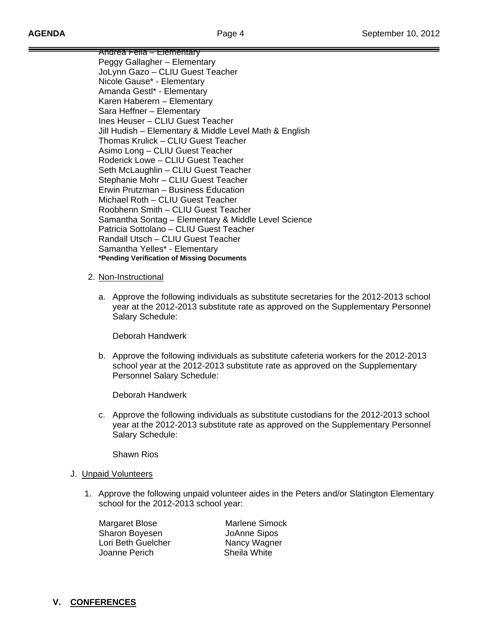Andrea Fella – Elementary Peggy Gallagher – Elementary JoLynn Gazo – CLIU Guest Teacher Nicole Gause\* - Elementary Amanda Gestl\* - Elementary Karen Haberern – Elementary Sara Heffner – Elementary Ines Heuser – CLIU Guest Teacher Jill Hudish – Elementary & Middle Level Math & English Thomas Krulick – CLIU Guest Teacher Asimo Long – CLIU Guest Teacher Roderick Lowe – CLIU Guest Teacher Seth McLaughlin – CLIU Guest Teacher Stephanie Mohr – CLIU Guest Teacher Erwin Prutzman – Business Education Michael Roth – CLIU Guest Teacher Roobhenn Smith – CLIU Guest Teacher Samantha Sontag – Elementary & Middle Level Science Patricia Sottolano – CLIU Guest Teacher Randall Utsch – CLIU Guest Teacher Samantha Yelles\* - Elementary **\*Pending Verification of Missing Documents** 

## 2. Non-Instructional

a. Approve the following individuals as substitute secretaries for the 2012-2013 school year at the 2012-2013 substitute rate as approved on the Supplementary Personnel Salary Schedule:

Deborah Handwerk

b. Approve the following individuals as substitute cafeteria workers for the 2012-2013 school year at the 2012-2013 substitute rate as approved on the Supplementary Personnel Salary Schedule:

Deborah Handwerk

c. Approve the following individuals as substitute custodians for the 2012-2013 school year at the 2012-2013 substitute rate as approved on the Supplementary Personnel Salary Schedule:

Shawn Rios

# J. **Unpaid Volunteers**

1. Approve the following unpaid volunteer aides in the Peters and/or Slatington Elementary school for the 2012-2013 school year:

 Sharon Boyesen JoAnne Sipos Lori Beth Guelcher Nancy Wagner Joanne Perich Sheila White

Margaret Blose Marlene Simock

# **V. CONFERENCES**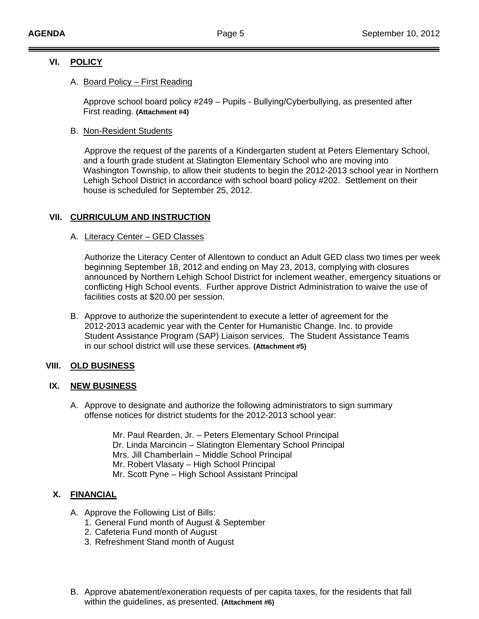# **VI. POLICY**

# A. Board Policy – First Reading

 Approve school board policy #249 – Pupils - Bullying/Cyberbullying, as presented after First reading. **(Attachment #4)**

### B. Non-Resident Students

 Approve the request of the parents of a Kindergarten student at Peters Elementary School, and a fourth grade student at Slatington Elementary School who are moving into Washington Township, to allow their students to begin the 2012-2013 school year in Northern Lehigh School District in accordance with school board policy #202. Settlement on their house is scheduled for September 25, 2012.

# **VII. CURRICULUM AND INSTRUCTION**

## A. Literacy Center – GED Classes

Authorize the Literacy Center of Allentown to conduct an Adult GED class two times per week beginning September 18, 2012 and ending on May 23, 2013, complying with closures announced by Northern Lehigh School District for inclement weather, emergency situations or conflicting High School events. Further approve District Administration to waive the use of facilities costs at \$20.00 per session.

B. Approve to authorize the superintendent to execute a letter of agreement for the 2012-2013 academic year with the Center for Humanistic Change. Inc. to provide Student Assistance Program (SAP) Liaison services. The Student Assistance Teams in our school district will use these services. **(Attachment #5)**

# **VIII. OLD BUSINESS**

### **IX. NEW BUSINESS**

A. Approve to designate and authorize the following administrators to sign summary offense notices for district students for the 2012-2013 school year:

> Mr. Paul Rearden, Jr. – Peters Elementary School Principal Dr. Linda Marcincin – Slatington Elementary School Principal Mrs. Jill Chamberlain – Middle School Principal Mr. Robert Vlasaty – High School Principal Mr. Scott Pyne – High School Assistant Principal

# **X. FINANCIAL**

- A. Approve the Following List of Bills:
	- 1. General Fund month of August & September
	- 2. Cafeteria Fund month of August
	- 3. Refreshment Stand month of August
- B. Approve abatement/exoneration requests of per capita taxes, for the residents that fall within the guidelines, as presented. **(Attachment #6)**